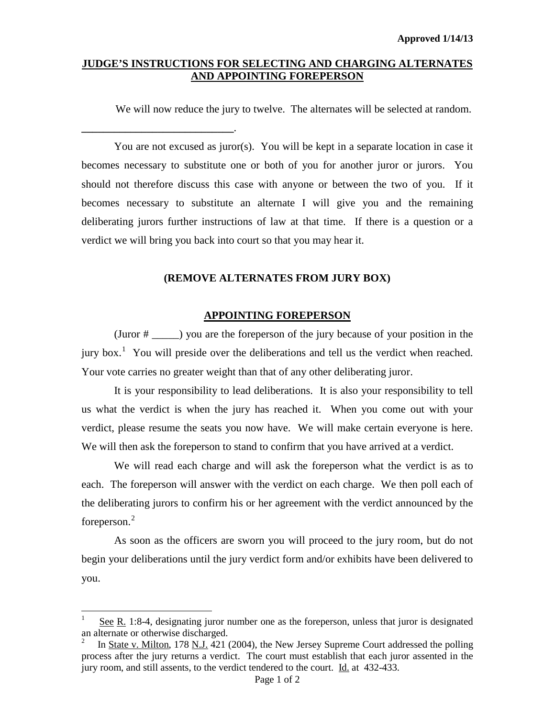### **JUDGE'S INSTRUCTIONS FOR SELECTING AND CHARGING ALTERNATES AND APPOINTING FOREPERSON**

**\_\_\_\_\_\_\_\_\_\_\_\_\_\_\_\_\_\_\_\_\_\_\_\_\_\_\_\_**.

 $\overline{a}$ 

We will now reduce the jury to twelve. The alternates will be selected at random.

You are not excused as juror(s). You will be kept in a separate location in case it becomes necessary to substitute one or both of you for another juror or jurors. You should not therefore discuss this case with anyone or between the two of you. If it becomes necessary to substitute an alternate I will give you and the remaining deliberating jurors further instructions of law at that time. If there is a question or a verdict we will bring you back into court so that you may hear it.

#### **(REMOVE ALTERNATES FROM JURY BOX)**

#### **APPOINTING FOREPERSON**

(Juror # \_\_\_\_\_) you are the foreperson of the jury because of your position in the jury box.<sup>[1](#page-0-0)</sup> You will preside over the deliberations and tell us the verdict when reached. Your vote carries no greater weight than that of any other deliberating juror.

It is your responsibility to lead deliberations. It is also your responsibility to tell us what the verdict is when the jury has reached it. When you come out with your verdict, please resume the seats you now have. We will make certain everyone is here. We will then ask the foreperson to stand to confirm that you have arrived at a verdict.

We will read each charge and will ask the foreperson what the verdict is as to each. The foreperson will answer with the verdict on each charge. We then poll each of the deliberating jurors to confirm his or her agreement with the verdict announced by the foreperson. $2$ 

As soon as the officers are sworn you will proceed to the jury room, but do not begin your deliberations until the jury verdict form and/or exhibits have been delivered to you.

<span id="page-0-0"></span>See R. 1:8-4, designating juror number one as the foreperson, unless that juror is designated an alternate or otherwise discharged.

<span id="page-0-1"></span><sup>2</sup> In State v. Milton, 178 N.J. 421 (2004), the New Jersey Supreme Court addressed the polling process after the jury returns a verdict. The court must establish that each juror assented in the jury room, and still assents, to the verdict tendered to the court. Id. at 432-433.